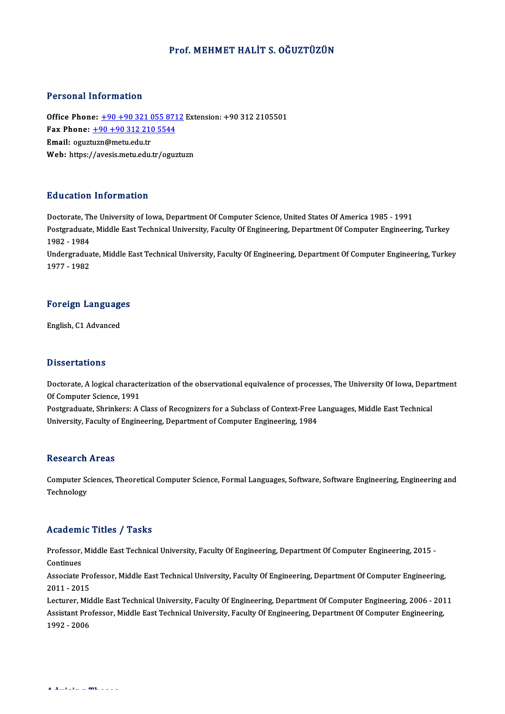### Prof. MEHMET HALİT S. OĞUZTÜZÜN

#### Personal Information

Personal Information<br>Office Phone: <u>+90 +90 321 055 8712</u> Extension: +90 312 2105501<br>Fax Phone: 190 190 312 310 5544 Fax Phone: <u>+90 +90 321 055 871</u><br>Fax Phone: <u>+90 +90 321 055 871</u><br>Fax Phone: <u>+90 +90 312 210 5544</u> Office Phone: <u>+90 +90 321 (</u><br>Fax Phone: <u>+90 +90 312 210</u><br>Email: oguzt[uzn@metu.edu.tr](tel:+90 +90 312 210 5544) Fax Phone:  $\pm 90 + 90$  312 210 5544<br>Email: oguztuzn@metu.edu.tr<br>Web: https://avesis.metu.edu.tr/oguztuzn

#### Education Information

Education Information<br>Doctorate, The University of Iowa, Department Of Computer Science, United States Of America 1985 - 1991<br>Postsraduate Middle Fast Technical University, Faculty Of Engineering, Department Of Computer En Pulusation Throf Inderon<br>Doctorate, The University of Iowa, Department Of Computer Science, United States Of America 1985 - 1991<br>Postgraduate, Middle East Technical University, Faculty Of Engineering, Department Of Compute Doctorate, Th<br>Postgraduate<br>1982 - 1984<br>Undergradue Postgraduate, Middle East Technical University, Faculty Of Engineering, Department Of Computer Engineering, Turkey<br>1982 - 1984<br>Undergraduate, Middle East Technical University, Faculty Of Engineering, Department Of Computer

1982 - 1984<br>Undergraduate, Middle East Technical University, Faculty Of Engineering, Department Of Computer Engineering, Turkey<br>1977 - 1982

# 1977 - 1982<br>Foreign Languages <mark>Foreign Languag</mark><br>English, C1 Advanced

English, C1 Advanced<br>Dissertations

**Dissertations**<br>Doctorate, A logical characterization of the observational equivalence of processes, The University Of Iowa, Department<br>Of Computer Science, 1991 Disourcement<br>Doctorate, A logical character<br>Of Computer Science, 1991<br>Restaugate Shrinkers: A f Doctorate, A logical characterization of the observational equivalence of processes, The University Of Iowa, Depa<br>Of Computer Science, 1991<br>Postgraduate, Shrinkers: A Class of Recognizers for a Subclass of Context-Free Lan

Of Computer Science, 1991<br>Postgraduate, Shrinkers: A Class of Recognizers for a Subclass of Context-Free Languages, Middle East Technical<br>University, Faculty of Engineering, Department of Computer Engineering, 1984

#### **Research Areas**

Research Areas<br>Computer Sciences, Theoretical Computer Science, Formal Languages, Software, Software Engineering, Engineering and<br>Teshnelegy **Computer School**<br>Technology

# Technology<br>Academic Titles / Tasks

Academic Titles / Tasks<br>Professor, Middle East Technical University, Faculty Of Engineering, Department Of Computer Engineering, 2015 -<br>Continues Professor,<br>Continues<br>Associate I Professor, Middle East Technical University, Faculty Of Engineering, Department Of Computer Engineering, 2015<br>Continues<br>Associate Professor, Middle East Technical University, Faculty Of Engineering, Department Of Computer

Continues<br>Associate Professor, Middle East Technical University, Faculty Of Engineering, Department Of Computer Engineering,<br>2011 - 2015 Associate Professor, Middle East Technical University, Faculty Of Engineering, Department Of Computer Engineering,<br>2011 - 2015<br>Lecturer, Middle East Technical University, Faculty Of Engineering, Department Of Computer Engi

2011 - 2015<br>Lecturer, Middle East Technical University, Faculty Of Engineering, Department Of Computer Engineering, 2006 - 201<br>Assistant Professor, Middle East Technical University, Faculty Of Engineering, Department Of Co Lecturer, Mid<br>Assistant Pro<br>1992 - 2006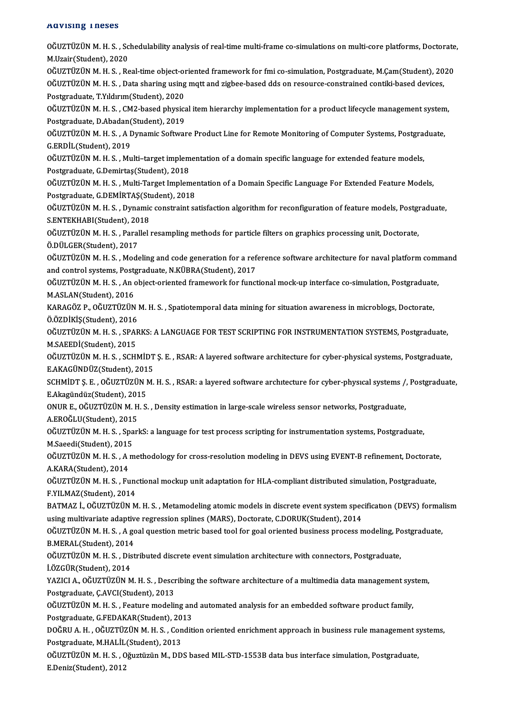#### Advising Theses

| <b>Advising Theses</b>                                                                                                                                                                                                                                                       |
|------------------------------------------------------------------------------------------------------------------------------------------------------------------------------------------------------------------------------------------------------------------------------|
| OĞUZTÜZÜN M.H.S., Schedulability analysis of real-time multi-frame co-simulations on multi-core platforms, Doctorate,<br>M Uzair (Student), 2020                                                                                                                             |
| OĞUZTÜZÜN M.H.S., Real-time object-oriented framework for fmi co-simulation, Postgraduate, M.Çam(Student), 2020<br>OĞUZTÜZÜN M.H.S., Data sharing using mqtt and zigbee-based dds on resource-constrained contiki-based devices,<br>Postgraduate, T.Yıldırım (Student), 2020 |
| OĞUZTÜZÜN M.H.S., CM2-based physical item hierarchy implementation for a product lifecycle management system,<br>Postgraduate, D.Abadan(Student), 2019                                                                                                                       |
| OGUZTÜZÜN M. H. S., A Dynamic Software Product Line for Remote Monitoring of Computer Systems, Postgraduate,<br>G.ERDİL(Student), 2019                                                                                                                                       |
| OĞUZTÜZÜN M.H.S., Multi-target implementation of a domain specific language for extended feature models,<br>Postgraduate, G.Demirtaş(Student), 2018                                                                                                                          |
| OĞUZTÜZÜN M.H.S., Multi-Target Implementation of a Domain Specific Language For Extended Feature Models,<br>Postgraduate, G.DEMIRTAŞ(Student), 2018                                                                                                                          |
| OĞUZTÜZÜN M.H.S., Dynamic constraint satisfaction algorithm for reconfiguration of feature models, Postgraduate,<br>S.ENTEKHABI(Student), 2018                                                                                                                               |
| OĞUZTÜZÜN M.H.S., Parallel resampling methods for particle filters on graphics processing unit, Doctorate,<br>Ö.DÜLGER(Student), 2017                                                                                                                                        |
| OĞUZTÜZÜN M.H.S., Modeling and code generation for a reference software architecture for naval platform command<br>and control systems, Postgraduate, N.KÜBRA(Student), 2017                                                                                                 |
| OĞUZTÜZÜN M.H.S., An object-oriented framework for functional mock-up interface co-simulation, Postgraduate,<br>M.ASLAN(Student), 2016                                                                                                                                       |
| KARAGÖZ P., OĞUZTÜZÜN M. H. S., Spatiotemporal data mining for situation awareness in microblogs, Doctorate,<br>ÖÖZDİKİŞ(Student), 2016                                                                                                                                      |
| OĞUZTÜZÜN M.H.S., SPARKS: A LANGUAGE FOR TEST SCRIPTING FOR INSTRUMENTATION SYSTEMS, Postgraduate,<br>M.SAEEDI(Student), 2015                                                                                                                                                |
| OGUZTÜZÜN M.H.S., SCHMIDT Ş.E., RSAR: A layered software architecture for cyber-physical systems, Postgraduate,<br>E.AKAGÜNDÜZ(Student), 2015                                                                                                                                |
| SCHMIDT S. E., OĞUZTÜZÜN M. H. S., RSAR: a layered software architecture for cyber-physical systems /, Postgraduate,<br>E.Akagündüz(Student), 2015                                                                                                                           |
| ONUR E., OĞUZTÜZÜN M. H. S., Density estimation in large-scale wireless sensor networks, Postgraduate,<br>A.EROĞLU(Student), 2015                                                                                                                                            |
| OĞUZTÜZÜN M.H.S., SparkS: a language for test process scripting for instrumentation systems, Postgraduate,<br>M Saeedi(Student), 2015                                                                                                                                        |
| OĞUZTÜZÜN M.H.S., A methodology for cross-resolution modeling in DEVS using EVENT-B refinement, Doctorate,<br>A KARA(Student), 2014                                                                                                                                          |
| OĞUZTÜZÜN M.H.S., Functional mockup unit adaptation for HLA-compliant distributed simulation, Postgraduate,<br>F YILMAZ(Student), 2014                                                                                                                                       |
| BATMAZ İ., OĞUZTÜZÜN M.H.S., Metamodeling atomic models in discrete event system specification (DEVS) formalism<br>using multivariate adaptive regression splines (MARS), Doctorate, C.DORUK(Student), 2014                                                                  |
| OĞUZTÜZÜN M.H.S., A goal question metric based tool for goal oriented business process modeling, Postgraduate,                                                                                                                                                               |
| B.MERAL(Student), 2014<br>OGUZTÜZÜN M.H.S., Distributed discrete event simulation architecture with connectors, Postgraduate,                                                                                                                                                |
| İ.ÖZGÜR(Student), 2014<br>YAZICI A., OĞUZTÜZÜN M. H. S., Describing the software architecture of a multimedia data management system,                                                                                                                                        |
| Postgraduate, Ç.AVCI(Student), 2013<br>OĞUZTÜZÜN M.H.S., Feature modeling and automated analysis for an embedded software product family,                                                                                                                                    |
| Postgraduate, G.FEDAKAR(Student), 2013<br>DOĞRU A.H., OĞUZTÜZÜN M.H.S., Condition oriented enrichment approach in business rule management systems,<br>Postgraduate, M.HALİL(Student), 2013                                                                                  |
| OĞUZTÜZÜN M.H.S., Oğuztüzün M., DDS based MIL-STD-1553B data bus interface simulation, Postgraduate,<br>E.Deniz(Student), 2012                                                                                                                                               |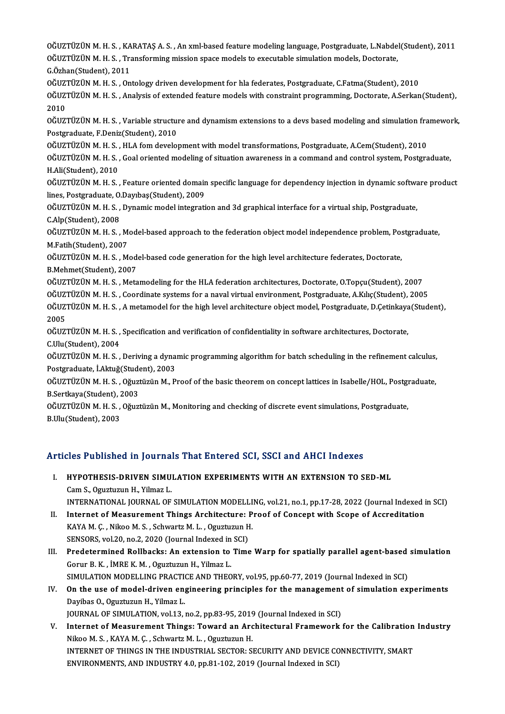OĞUZTÜZÜN M. H. S. , KARATAŞ A. S. , An xml-based feature modeling language, Postgraduate, L.Nabdel(Student), 2011<br>OğuztüzüN M. H. S. , KARATAŞ A. S. , An xml-based feature modeling language, Postgraduate, L.Nabdel(Student OĞUZTÜZÜN M. H. S. , KARATAŞ A. S. , An xml-based feature modeling language, Postgraduate, L.Nabdel<br>OĞUZTÜZÜN M. H. S. , Transforming mission space models to executable simulation models, Doctorate,<br>S. Örkan(Student), 2011 OĞUZTÜZÜN M. H. S. , KA<br>OĞUZTÜZÜN M. H. S. , Tra<br>G.Özhan(Student), 2011<br>OĞUZTÜZÜN M. H. S. OD OĞUZTÜZÜN M. H. S. , Transforming mission space models to executable simulation models, Doctorate,<br>G.Özhan(Student), 2011<br>OĞUZTÜZÜN M. H. S. , Ontology driven development for hla federates, Postgraduate, C.Fatma(Student), G.Özhan(Student), 2011<br>OĞUZTÜZÜN M. H. S. , Ontology driven development for hla federates, Postgraduate, C.Fatma(Student), 2010<br>OĞUZTÜZÜN M. H. S. , Analysis of extended feature models with constraint programming, Doctorat 0ĞUZ<br>0ĞUZ<br>2010<br>0ČUZ OĞUZTÜZÜN M. H. S. , Analysis of extended feature models with constraint programming, Doctorate, A.Serkan(Student),<br>2010<br>OĞUZTÜZÜN M. H. S. , Variable structure and dynamism extensions to a devs based modeling and simulati 2010<br>OĞUZTÜZÜN M. H. S. , Variable structul<br>Postgraduate, F.Deniz(Student), 2010<br>OĞUZTÜZÜN M. H. S. - HLA fom davelel OĞUZTÜZÜN M. H. S. , Variable structure and dynamism extensions to a devs based modeling and simulation fra<br>Postgraduate, F.Deniz(Student), 2010<br>OĞUZTÜZÜN M. H. S. , HLA fom development with model transformations, Postgrad Postgraduate, F.Deniz(Student), 2010<br>OĞUZTÜZÜN M. H. S. , HLA fom development with model transformations, Postgraduate, A.Cem(Student), 2010<br>OĞUZTÜZÜN M. H. S. , Goal oriented modeling of situation awareness in a command a OĞUZTÜZÜN M. H. S. ,<br>OĞUZTÜZÜN M. H. S. ,<br>H.Ali(Student), 2010<br>OĞUZTÜZÜN M. H. S OĞUZTÜZÜN M. H. S. , Goal oriented modeling of situation awareness in a command and control system, Postgraduate,<br>H.Ali(Student), 2010<br>OĞUZTÜZÜN M. H. S. , Feature oriented domain specific language for dependency injection H.Ali(Student), 2010<br>OĞUZTÜZÜN M. H. S. , Feature oriented domain specific language for dependency injection in dynamic software product<br>lines, Postgraduate, O.Dayıbaş(Student), 2009 OĞUZTÜZÜN M. H. S. , Feature oriented domain specific language for dependency injection in dynamic softwa<br>lines, Postgraduate, O.Dayıbaş(Student), 2009<br>OĞUZTÜZÜN M. H. S. , Dynamic model integration and 3d graphical interf lines, Postgraduate, O.<br>OĞUZTÜZÜN M. H. S. ,<br>C.Alp(Student), 2008<br>OĞUZTÜZÜN M. H. S OĞUZTÜZÜN M. H. S. , Dynamic model integration and 3d graphical interface for a virtual ship, Postgraduate,<br>C.Alp(Student), 2008<br>OĞUZTÜZÜN M. H. S. , Model-based approach to the federation object model independence problem C.Alp(Student), 2008<br>OĞUZTÜZÜN M. H. S. , M<br>M.Fatih(Student), 2007<br>OĞUZTÜZÜN M. H. S. M OĞUZTÜZÜN M. H. S. , Model-based approach to the federation object model independence problem, Pos<br>M.Fatih(Student), 2007<br>OĞUZTÜZÜN M. H. S. , Model-based code generation for the high level architecture federates, Doctorat M.Fatih(Student), 2007<br>OĞUZTÜZÜN M. H. S. , Model-based code generation for the high level architecture federates, Doctorate,<br>B.Mehmet(Student), 2007 OĞUZTÜZÜN M. H. S. , Model-based code generation for the high level architecture federates, Doctorate,<br>B.Mehmet(Student), 2007<br>OĞUZTÜZÜN M. H. S. , Metamodeling for the HLA federation architectures, Doctorate, O.Topçu(Stud B.Mehmet(Student), 2007<br>OĞUZTÜZÜN M. H. S. , Metamodeling for the HLA federation architectures, Doctorate, O.Topçu(Student), 2007<br>OĞUZTÜZÜN M. H. S. , Coordinate systems for a naval virtual environment, Postgraduate, A.Kıl OĞUZTÜZÜN M. H. S. , Metamodeling for the HLA federation architectures, Doctorate, O.Topçu(Student), 2007<br>OĞUZTÜZÜN M. H. S. , Coordinate systems for a naval virtual environment, Postgraduate, A.Kılıç(Student), 2005<br>OĞUZTÜ OĞUZTÜZÜN M. H. S. , Coordinate systems for a naval virtual environment, Postgraduate, A.Kılıç(Student), 2005<br>OĞUZTÜZÜN M. H. S. , A metamodel for the high level architecture object model, Postgraduate, D.Çetinkaya(Student OĞUZTÜZÜN M. H. S. , A metamodel for the high level architecture object model, Postgraduate, D.Çetinkaya<br>2005<br>OĞUZTÜZÜN M. H. S. , Specification and verification of confidentiality in software architectures, Doctorate,<br>C.U 2005<br>OĞUZTÜZÜN M. H. S. ,<br>C.Ulu(Student), 2004<br>OĞUZTÜZÜN M. H. S OĞUZTÜZÜN M. H. S. , Specification and verification of confidentiality in software architectures, Doctorate,<br>C.Ulu(Student), 2004<br>OĞUZTÜZÜN M. H. S. , Deriving a dynamic programming algorithm for batch scheduling in the re C.Ulu(Student), 2004<br>OĞUZTÜZÜN M. H. S. , Deriving a dyna<br>Postgraduate, İ.Aktuğ(Student), 2003<br>OĞUZTÜZÜN M. H. S., Oğuztüzün M. B OĞUZTÜZÜN M. H. S. , Deriving a dynamic programming algorithm for batch scheduling in the refinement calculus,<br>Postgraduate, İ.Aktuğ(Student), 2003<br>OĞUZTÜZÜN M. H. S. , Oğuztüzün M., Proof of the basic theorem on concept l Postgraduate, İ.Aktuğ(Student), 2003<br>OĞUZTÜZÜN M. H. S. , Oğuztüzün M., Proof of the basic theorem on concept lattices in Isabelle/HOL, Postgraduate, OĞUZTÜZÜN M. H. S. , Oğuztüzün M., Monitoring and checking of discrete event simulations, Postgraduate,<br>B.Ulu(Student), 2003 B.Sertkaya(Student), 2003

## Articles Published in Journals That Entered SCI, SSCI and AHCI Indexes

- rticles Published in Journals That Entered SCI, SSCI and AHCI Indexes<br>I. HYPOTHESIS-DRIVEN SIMULATION EXPERIMENTS WITH AN EXTENSION TO SED-ML CamS.,OguztuzunH.,YilmazL. Cam S., Oguztuzun H., Yilmaz L.<br>INTERNATIONAL JOURNAL OF SIMULATION MODELLING, vol.21, no.1, pp.17-28, 2022 (Journal Indexed in SCI) Cam S., Oguztuzun H., Yilmaz L.<br>INTERNATIONAL JOURNAL OF SIMULATION MODELLING, vol.21, no.1, pp.17-28, 2022 (Journal Indexed in Internet of Measurement Things Architecture: Proof of Concept with Scope of Accreditation
- INTERNATIONAL JOURNAL OF SIMULATION MODELLI<br>Internet of Measurement Things Architecture: P<br>KAYA M. Ç. , Nikoo M. S. , Schwartz M. L. , Oguztuzun H.<br>SENSOBS Vol 20, Do 2, 2020 (Journal Indoved in SCI) Internet of Measurement Things Architecture: I<br>KAYA M. Ç. , Nikoo M. S. , Schwartz M. L. , Oguztuzun H<br>SENSORS, vol.20, no.2, 2020 (Journal Indexed in SCI)<br>Predetermined Bollbasks: An extension to Time KAYA M. Ç. , Nikoo M. S. , Schwartz M. L. , Oguztuzun H.<br>SENSORS, vol.20, no.2, 2020 (Journal Indexed in SCI)<br>III. Predetermined Rollbacks: An extension to Time Warp for spatially parallel agent-based simulation<br>Comin B. K
- SENSORS, vol.20, no.2, 2020 (Journal Indexed in<br>Predetermined Rollbacks: An extension to<br>Gorur B. K. , İMRE K. M. , Oguztuzun H., Yilmaz L.<br>SIMIJI ATION MODELLING PRACTICE AND TUEO Predetermined Rollbacks: An extension to Time Warp for spatially parallel agent-based<br>Gorur B. K. , İMRE K. M. , Oguztuzun H., Yilmaz L.<br>SIMULATION MODELLING PRACTICE AND THEORY, vol.95, pp.60-77, 2019 (Journal Indexed in Gorur B. K. , İMRE K. M. , Oguztuzun H., Yilmaz L.<br>SIMULATION MODELLING PRACTICE AND THEORY, vol.95, pp.60-77, 2019 (Journal Indexed in SCI)<br>IV. On the use of model-driven engineering principles for the management of simul
- SIMULATION MODELLING PRACTION<br>On the use of model-driven eng<br>Dayibas O., Oguztuzun H., Yilmaz L.<br>JOUPNAL OF SIMULATION Wal12 On the use of model-driven engineering principles for the management<br>Dayibas O., Oguztuzun H., Yilmaz L.<br>JOURNAL OF SIMULATION, vol.13, no.2, pp.83-95, 2019 (Journal Indexed in SCI)<br>Internet of Measurement Things: Toward o Dayibas O., Oguztuzun H., Yilmaz L.<br>JOURNAL OF SIMULATION, vol.13, no.2, pp.83-95, 2019 (Journal Indexed in SCI)<br>V. Internet of Measurement Things: Toward an Architectural Framework for the Calibration Industry<br>Nilso M. S.

JOURNAL OF SIMULATION, vol.13, no.2, pp.83-95, 2019 (Journal Indexed in SCI)<br>Internet of Measurement Things: Toward an Architectural Framework<br>Nikoo M. S. , KAYA M. Ç. , Schwartz M. L. , Oguztuzun H. Internet of Measurement Things: Toward an Architectural Framework for the Calibration<br>Nikoo M. S. , KAYA M. Ç. , Schwartz M. L. , Oguztuzun H.<br>INTERNET OF THINGS IN THE INDUSTRIAL SECTOR: SECURITY AND DEVICE CONNECTIVITY, INTERNET OF THINGS IN THE INDUSTRIAL SECTOR: SECURITY AND DEVICE CONNECTIVITY, SMART<br>ENVIRONMENTS, AND INDUSTRY 4.0, pp.81-102, 2019 (Journal Indexed in SCI)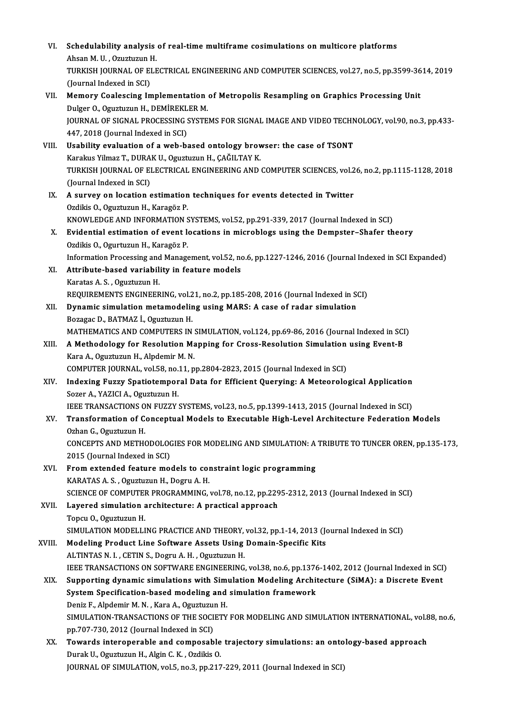VI. Schedulability analysis of real-time multiframe cosimulations on multicore platforms<br>Absen M. U. Owystysup H Schedulability analysis<br>Ahsan M. U. , Ozuztuzun H.<br>TURKISH JOURNAL OF ELE Schedulability analysis of real-time multiframe cosimulations on multicore platforms<br>Ahsan M. U. , Ozuztuzun H.<br>TURKISH JOURNAL OF ELECTRICAL ENGINEERING AND COMPUTER SCIENCES, vol.27, no.5, pp.3599-3614, 2019<br>(Jaunnal Ind Ahsan M. U. , Ozuztuzun I<br>TURKISH JOURNAL OF EI<br>(Journal Indexed in SCI)<br>Momony Coologging In TURKISH JOURNAL OF ELECTRICAL ENGINEERING AND COMPUTER SCIENCES, vol.27, no.5, pp.3599-36<br>(Journal Indexed in SCI)<br>VII. Memory Coalescing Implementation of Metropolis Resampling on Graphics Processing Unit<br>Dulgar O. Ogustu (Journal Indexed in SCI)<br>Memory Coalescing Implementation<br>Dulger O., Oguztuzun H., DEMİREKLER M.<br>JOURNAL OE SICNAL PROCESSING SYSTE Memory Coalescing Implementation of Metropolis Resampling on Graphics Processing Unit<br>Dulger O., Oguztuzun H., DEMİREKLER M.<br>JOURNAL OF SIGNAL PROCESSING SYSTEMS FOR SIGNAL IMAGE AND VIDEO TECHNOLOGY, vol.90, no.3, pp.433-Dulger O., Oguztuzun H., DEMİREKL<br>JOURNAL OF SIGNAL PROCESSING :<br>447, 2018 (Journal Indexed in SCI)<br>Heability evaluation of a wab be JOURNAL OF SIGNAL PROCESSING SYSTEMS FOR SIGNAL IMAGE AND VIDEO TECHN<br>447, 2018 (Journal Indexed in SCI)<br>VIII. Usability evaluation of a web-based ontology browser: the case of TSONT<br>Karalny Vilmer T. DUBAK U. Orugtugup H. 447, 2018 (Journal Indexed in SCI)<br>Usability evaluation of a web-based ontology brov<br>Karakus Yilmaz T., DURAK U., Oguztuzun H., ÇAĞILTAY K.<br>TURKISH JOURNAL OF ELECTRICAL ENCINEFRINC AND. TURKISH JOURNAL OF ELECTRICAL ENGINEERING AND COMPUTER SCIENCES, vol.26, no.2, pp.1115-1128, 2018<br>(Journal Indexed in SCI) Karakus Yilmaz T., DURAK U., Oguztuzun H., ÇAĞILTAY K. IX. A survey on location estimation techniques for events detected in Twitter Ozdikis O., Oguztuzun H., Karagöz P. A survey on location estimation techniques for events detected in Twitter<br>Ozdikis O., Oguztuzun H., Karagöz P.<br>KNOWLEDGE AND INFORMATION SYSTEMS, vol.52, pp.291-339, 2017 (Journal Indexed in SCI)<br>Evidential estimation of e X. Evidential estimation of event locations in microblogs using the Dempster–Shafer theory<br>Ozdikis O., Ogurtuzun H., Karagöz P. KNOWLEDGE AND INFORMATION S<br>Evidential estimation of event lo<br>Ozdikis O., Ogurtuzun H., Karagöz P.<br>Information Prosessing and Manag Evidential estimation of event locations in microblogs using the Dempster–Shafer theory<br>Ozdikis 0., Ogurtuzun H., Karagöz P.<br>Information Processing and Management, vol.52, no.6, pp.1227-1246, 2016 (Journal Indexed in SCI E XI. Attribute-based variability in feature models<br>Karatas A. S., Oguztuzun H. Information Processing and<br>Attribute-based variabil:<br>Karatas A. S. , Oguztuzun H.<br>PEOUIDEMENTS ENCINEED Attribute-based variability in feature models<br>Karatas A. S. , Oguztuzun H.<br>REQUIREMENTS ENGINEERING, vol.21, no.2, pp.185-208, 2016 (Journal Indexed in SCI)<br>Dynamis simulation metamodeling using MAPS: A sase of radar simul XII. Dynamic simulation metamodeling using MARS: A case of radar simulation Bozagac D., BATMAZ İ., Oguztuzun H. REQUIREMENTS ENGINEERING, vol.2<br>Dynamic simulation metamodelir<br>Bozagac D., BATMAZ İ., Oguztuzun H.<br>MATHEMATICS AND COMBUTERS IN Dynamic simulation metamodeling using MARS: A case of radar simulation<br>Bozagac D., BATMAZ İ., Oguztuzun H.<br>MATHEMATICS AND COMPUTERS IN SIMULATION, vol.124, pp.69-86, 2016 (Journal Indexed in SCI)<br>A Methodology for Bosolut Bozagac D., BATMAZ İ., Oguztuzun H.<br>MATHEMATICS AND COMPUTERS IN SIMULATION, vol.124, pp.69-86, 2016 (Journal Indexed in SCI<br>XIII. A Methodology for Resolution Mapping for Cross-Resolution Simulation using Event-B MATHEMATICS AND COMPUTERS IN :<br>A Methodology for Resolution Ma<br>Kara A., Oguztuzun H., Alpdemir M. N.<br>COMPUTER JOURNAL, vol 59, no 11, n XIII. A Methodology for Resolution Mapping for Cross-Resolution Simulation using Event-B<br>Kara A., Oguztuzun H., Alpdemir M. N.<br>COMPUTER JOURNAL, vol.58, no.11, pp.2804-2823, 2015 (Journal Indexed in SCI) Kara A., Oguztuzun H., Alpdemir M. N.<br>COMPUTER JOURNAL, vol.58, no.11, pp.2804-2823, 2015 (Journal Indexed in SCI)<br>XIV. Indexing Fuzzy Spatiotemporal Data for Efficient Querying: A Meteorological Application<br>Seger A. X SozerA.,YAZICIA.,OguztuzunH. Indexing Fuzzy Spatiotemporal Data for Efficient Querying: A Meteorological Application<br>Sozer A., YAZICI A., Oguztuzun H.<br>IEEE TRANSACTIONS ON FUZZY SYSTEMS, vol.23, no.5, pp.1399-1413, 2015 (Journal Indexed in SCI)<br>Transf XV. Transformation of Conceptual Models to Executable High-Level Architecture Federation Models<br>Ozhan G. Oguztuzun H. IEEE TRANSACTIONS ON FUZZY SYSTEMS, vol.23, no.5, pp.1399-1413, 2015 (Journal Indexed in SCI) Transformation of Conceptual Models to Executable High-Level Architecture Federation Models<br>Ozhan G., Oguztuzun H.<br>CONCEPTS AND METHODOLOGIES FOR MODELING AND SIMULATION: A TRIBUTE TO TUNCER OREN, pp.135-173,<br>2015 (Journal Ozhan G., Oguztuzun H.<br>CONCEPTS AND METHODOLOO<br>2015 (Journal Indexed in SCI)<br>Enom outonded feature me CONCEPTS AND METHODOLOGIES FOR MODELING AND SIMULATION: A<br>2015 (Journal Indexed in SCI)<br>XVI. From extended feature models to constraint logic programming<br> $KADATAS A S.$  Ocustumun H. Dosmu A. H. 2015 (Journal Indexed in SCI)<br>From extended feature models to con<br>KARATAS A. S. , Oguztuzun H., Dogru A. H.<br>SCIENCE OF COMBUTER BROCRAMMING KARATAS A. S. , Oguztuzun H., Dogru A. H.<br>SCIENCE OF COMPUTER PROGRAMMING, vol.78, no.12, pp.2295-2312, 2013 (Journal Indexed in SCI) KARATAS A. S. , Oguztuzun H., Dogru A. H.<br>SCIENCE OF COMPUTER PROGRAMMING, vol.78, no.12, pp.229<br>XVII. Layered simulation architecture: A practical approach<br>Topgy O. Ogustusun H SCIENCE OF COMPUTE<br>Layered simulation<br>Topcu O., Oguztuzun H.<br>SIMULATION MODELLI Topcu O., Oguztuzun H.<br>SIMULATION MODELLING PRACTICE AND THEORY, vol.32, pp.1-14, 2013 (Journal Indexed in SCI) Topcu O., Oguztuzun H.<br>SIMULATION MODELLING PRACTICE AND THEORY, vol.32, pp.1-14, 2013 (Journal Modeling Product Line Software Assets Using Domain-Specific Kits SIMULATION MODELLING PRACTICE AND THEORY,<br>Modeling Product Line Software Assets Using<br>ALTINTAS N. I. , CETIN S., Dogru A. H. , Oguztuzun H.<br>JEEE TRANSACTIONS ON SOETWARE ENCINEERING Modeling Product Line Software Assets Using Domain-Specific Kits<br>ALTINTAS N. I. , CETIN S., Dogru A. H. , Oguztuzun H.<br>IEEE TRANSACTIONS ON SOFTWARE ENGINEERING, vol.38, no.6, pp.1376-1402, 2012 (Journal Indexed in SCI)<br>Su ALTINTAS N. I. , CETIN S., Dogru A. H. , Oguztuzun H.<br>IEEE TRANSACTIONS ON SOFTWARE ENGINEERING, vol.38, no.6, pp.1376-1402, 2012 (Journal Indexed in SCI<br>XIX. Supporting dynamic simulations with Simulation Modeling Archite IEEE TRANSACTIONS ON SOFTWARE ENGINEERING, vol.38, no.6, pp.1376<br>Supporting dynamic simulations with Simulation Modeling Archit<br>System Specification-based modeling and simulation framework<br>Doniz E. Alpdomir M.N., Kara A. O Supporting dynamic simulations with Sim<br>System Specification-based modeling and<br>Deniz F., Alpdemir M. N. , Kara A., Oguztuzun H.<br>SIMULATION TRANSACTIONS OF THE SOCIETY System Specification-based modeling and simulation framework<br>Deniz F., Alpdemir M. N. , Kara A., Oguztuzun H.<br>SIMULATION-TRANSACTIONS OF THE SOCIETY FOR MODELING AND SIMULATION INTERNATIONAL, vol.88, no.6,<br>nn 707 720, 2012 Deniz F., Alpdemir M. N. , Kara A., Oguztuzu<br>SIMULATION-TRANSACTIONS OF THE SOCI<br>pp.707-730, 2012 (Journal Indexed in SCI)<br>Towards interenerable and composab SIMULATION-TRANSACTIONS OF THE SOCIETY FOR MODELING AND SIMULATION INTERNATIONAL, vol.&<br>pp.707-730, 2012 (Journal Indexed in SCI)<br>XX. Towards interoperable and composable trajectory simulations: an ontology-based approach<br> pp.707-730, 2012 (Journal Indexed in SCI)<br>XX. Towards interoperable and composable trajectory simulations: an ontology-based approach<br>Durak U., Oguztuzun H., Algin C. K. , Ozdikis O. JOURNAL OF SIMULATION, vol.5, no.3, pp.217-229, 2011 (Journal Indexed in SCI)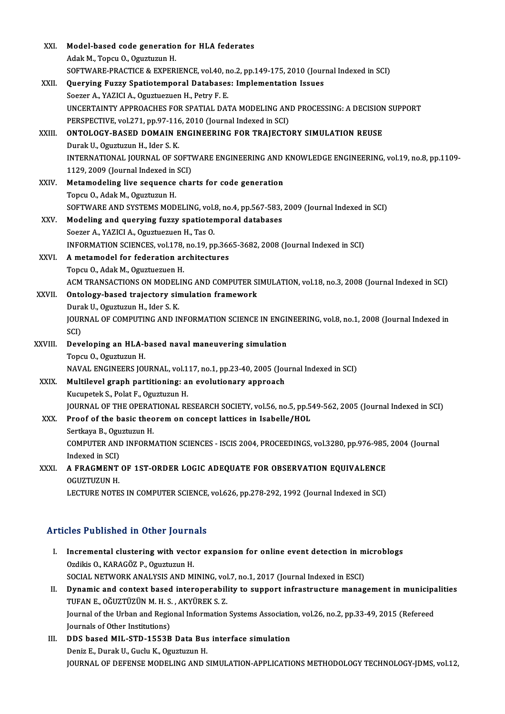| XXI.        | Model-based code generation for HLA federates                                                        |
|-------------|------------------------------------------------------------------------------------------------------|
|             | Adak M., Topcu O., Oguztuzun H.                                                                      |
|             | SOFTWARE-PRACTICE & EXPERIENCE, vol.40, no.2, pp.149-175, 2010 (Journal Indexed in SCI)              |
| XXII.       | Querying Fuzzy Spatiotemporal Databases: Implementation Issues                                       |
|             | Soezer A., YAZICI A., Oguztuezuen H., Petry F. E.                                                    |
|             | UNCERTAINTY APPROACHES FOR SPATIAL DATA MODELING AND PROCESSING: A DECISION SUPPORT                  |
|             | PERSPECTIVE, vol.271, pp.97-116, 2010 (Journal Indexed in SCI)                                       |
| XXIII.      | ONTOLOGY-BASED DOMAIN ENGINEERING FOR TRAJECTORY SIMULATION REUSE                                    |
|             | Durak U., Oguztuzun H., Ider S. K.                                                                   |
|             | INTERNATIONAL JOURNAL OF SOFTWARE ENGINEERING AND KNOWLEDGE ENGINEERING, vol.19, no.8, pp.1109-      |
|             | 1129, 2009 (Journal Indexed in SCI)                                                                  |
| <b>XXIV</b> | Metamodeling live sequence charts for code generation                                                |
|             | Topcu O, Adak M, Oguztuzun H.                                                                        |
|             | SOFTWARE AND SYSTEMS MODELING, vol.8, no.4, pp.567-583, 2009 (Journal Indexed in SCI)                |
| XXV.        | Modeling and querying fuzzy spatiotemporal databases                                                 |
|             | Soezer A., YAZICI A., Oguztuezuen H., Tas O.                                                         |
|             | INFORMATION SCIENCES, vol.178, no.19, pp.3665-3682, 2008 (Journal Indexed in SCI)                    |
| XXVI.       | A metamodel for federation architectures                                                             |
|             | Topcu O., Adak M., Oguztuezuen H.                                                                    |
|             | ACM TRANSACTIONS ON MODELING AND COMPUTER SIMULATION, vol.18, no.3, 2008 (Journal Indexed in SCI)    |
| XXVII.      | Ontology-based trajectory simulation framework                                                       |
|             | Durak U., Oguztuzun H., Ider S. K.                                                                   |
|             | JOURNAL OF COMPUTING AND INFORMATION SCIENCE IN ENGINEERING, vol.8, no.1, 2008 (Journal Indexed in   |
|             | SCI)                                                                                                 |
| XXVIII.     | Developing an HLA-based naval maneuvering simulation                                                 |
|             | Topcu O., Oguztuzun H.                                                                               |
|             | NAVAL ENGINEERS JOURNAL, vol.117, no.1, pp.23-40, 2005 (Journal Indexed in SCI)                      |
| XXIX.       | Multilevel graph partitioning: an evolutionary approach                                              |
|             | Kucupetek S., Polat F., Oguztuzun H.                                                                 |
|             | JOURNAL OF THE OPERATIONAL RESEARCH SOCIETY, vol.56, no.5, pp.549-562, 2005 (Journal Indexed in SCI) |
| XXX.        | Proof of the basic theorem on concept lattices in Isabelle/HOL                                       |
|             | Sertkaya B., Oguztuzun H.                                                                            |
|             | COMPUTER AND INFORMATION SCIENCES - ISCIS 2004, PROCEEDINGS, vol.3280, pp.976-985, 2004 (Journal     |
|             | Indexed in SCI)                                                                                      |
| XXXI.       | A FRAGMENT OF 1ST-ORDER LOGIC ADEQUATE FOR OBSERVATION EQUIVALENCE                                   |
|             | <b>OGUZTUZUN H.</b>                                                                                  |
|             | LECTURE NOTES IN COMPUTER SCIENCE, vol.626, pp.278-292, 1992 (Journal Indexed in SCI)                |

## Articles Published in Other Journals

- rticles Published in Other Journals<br>I. Incremental clustering with vector expansion for online event detection in microblogs<br>Ordikis O. KARACÖZ B. Ogustusun H SEC PUSHONGU IN GENET JOURNAL<br>Incremental clustering with vector<br>Ozdikis O., KARAGÖZ P., Oguztuzun H. Incremental clustering with vector expansion for online event detection in m<br>Ozdikis O., KARAGÖZ P., Oguztuzun H.<br>SOCIAL NETWORK ANALYSIS AND MINING, vol.7, no.1, 2017 (Journal Indexed in ESCI)<br>Dunamis and sentaut based in Ozdikis O., KARAGÖZ P., Oguztuzun H.<br>SOCIAL NETWORK ANALYSIS AND MINING, vol.7, no.1, 2017 (Journal Indexed in ESCI)<br>II. Dynamic and context based interoperability to support infrastructure management in municipalities<br>TUE
- SOCIAL NETWORK ANALYSIS AND MINING, vol.7, no.1, 2017 (Journal Indexed in ESCI)<br>Dynamic and context based interoperability to support infrastructure management in municipa<br>TUFAN E., OĞUZTÜZÜN M. H. S., AKYÜREK S. Z.<br>Journa Dynamic and context based interoperability to support infrastructure management in municipa<br>TUFAN E., OĞUZTÜZÜN M. H. S. , AKYÜREK S. Z.<br>Journal of the Urban and Regional Information Systems Association, vol.26, no.2, pp.3 TUFAN E., OĞUZTÜZÜN M. H. S. , AKYÜREK S. Z.<br>Journal of the Urban and Regional Information<br>Journals of Other Institutions) Journal of the Urban and Regional Information Systems Association<br>Journals of Other Institutions)<br>III. DDS based MIL-STD-1553B Data Bus interface simulation<br>Donin E. Dural: U. Cushi K. Osustusua H
- Journals of Other Institutions)<br>DDS based MIL-STD-1553B Data Bus<br>Deniz E., Durak U., Guclu K., Oguztuzun H.<br>JOUPMAL OF DEEENSE MODELING AND S Deniz E., Durak U., Guclu K., Oguztuzun H.<br>JOURNAL OF DEFENSE MODELING AND SIMULATION-APPLICATIONS METHODOLOGY TECHNOLOGY-JDMS, vol.12,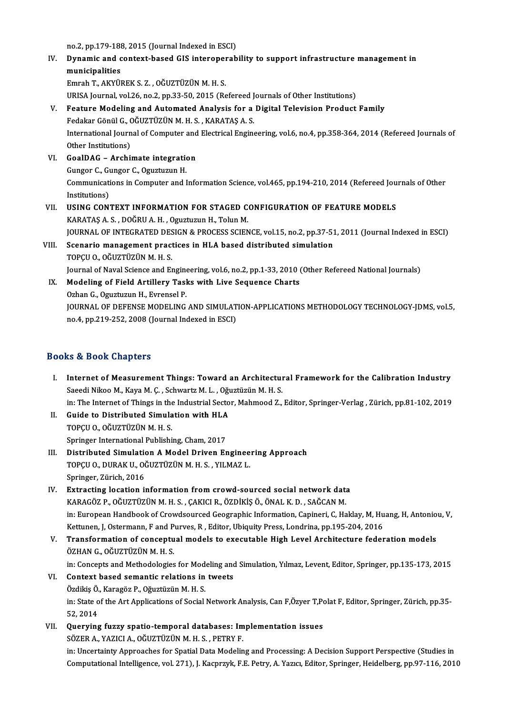no.2, pp.179-188, 2015 (Journal Indexed in ESCI)<br>Dunamic and conteut based CIS interenerab

no.2, pp.179-188, 2015 (Journal Indexed in ESCI)<br>IV. Dynamic and context-based GIS interoperability to support infrastructure management in<br>municipalities no.2, pp.179-188<br>Dynamic and c<br>municipalities<br>Emreh T. Arviu Dynamic and context-based GIS interoper<br>municipalities<br>Emrah T., AKYÜREK S. Z. , OĞUZTÜZÜN M. H. S.<br>URISA Journal val 26 no 2 nn 22 50 2015 (R. municipalities<br>Emrah T., AKYÜREK S. Z. , OĞUZTÜZÜN M. H. S.<br>URISA Journal, vol.26, no.2, pp.33-50, 2015 (Refereed Journals of Other Institutions)

## V. Feature Modeling and Automated Analysis for a Digital Television Product Family URISA Journal, vol.26, no.2, pp.33-50, 2015 (Refereed J<br>Feature Modeling and Automated Analysis for a<br>Fedakar Gönül G., OĞUZTÜZÜN M. H. S. , KARATAŞ A. S.<br>International Journal of Computer and Electrical Engine International Journal of Computer and Electrical Engineering, vol.6, no.4, pp.358-364, 2014 (Refereed Journals of Other Institutions) Fedakar Gönül G., C<br>International Journ<br>Other Institutions)<br>CoalDAC - Archii International Journal of Computer and<br>Other Institutions)<br>VI. GoalDAG – Archimate integration<br>Cunger C. Cunger C. Coughtugun H

Other Institutions)<br>GoalDAG – Archimate integration<br>Gungor C., Gungor C., Oguztuzun H.<br>Communications in Computer and L Communications in Computer and Information Science, vol.465, pp.194-210, 2014 (Refereed Journals of Other Institutions) Gungor C., Gungor C., Oguztuzun H. Communications in Computer and Information Science, vol.465, pp.194-210, 2014 (Refereed Jou<br>Institutions)<br>VII. USING CONTEXT INFORMATION FOR STAGED CONFIGURATION OF FEATURE MODELS<br>VARATAS A S. DOČPU A H. Courtury H. Tolun

## Institutions)<br>USING CONTEXT INFORMATION FOR STAGED C<br>KARATAŞ A. S. , DOĞRU A. H. , Oguztuzun H., Tolun M.<br>JOUPMAL OF INTECRATED DESICN & PROCESS SCIEN USING CONTEXT INFORMATION FOR STAGED CONFIGURATION OF FEATURE MODELS<br>KARATAŞ A. S. , DOĞRU A. H. , Oguztuzun H., Tolun M.<br>JOURNAL OF INTEGRATED DESIGN & PROCESS SCIENCE, vol.15, no.2, pp.37-51, 2011 (Journal Indexed in ESC KARATAŞ A. S., DOĞRU A. H., Oguztuzun H., Tolun M.<br>JOURNAL OF INTEGRATED DESIGN & PROCESS SCIENCE, vol.15, no.2, pp.37-5<br>VIII. Scenario management practices in HLA based distributed simulation<br>TOPCU O., OĞUZTÜZÜN M. H. S.

# **JOURNAL OF INTEGRATED DES<br>Scenario management pract<br>TOPÇU O., OĞUZTÜZÜN M. H. S.**<br>Journal of Naval Sciance and Ex Scenario management practices in HLA based distributed simulation<br>TOPÇU O., OĞUZTÜZÜN M. H. S.<br>Journal of Naval Science and Engineering, vol.6, no.2, pp.1-33, 2010 (Other Refereed National Journals)<br>Modeling of Field Artil

IX. Modeling of Field Artillery Tasks with Live Sequence Charts<br>Ozhan G., Oguztuzun H., Evrensel P. Journal of Naval Science and Engine<br>Modeling of Field Artillery Tasl<br>Ozhan G., Oguztuzun H., Evrensel P.<br>JOUPNAL OF DEFENSE MODELING JOURNAL OF DEFENSE MODELING AND SIMULATION-APPLICATIONS METHODOLOGY TECHNOLOGY-JDMS, vol.5, no.4,pp.219-252,2008 (Journal Indexed inESCI)

### Books&Book Chapters

- I. Internet of Measurement Things: Toward an Architectural Framework for the Calibration Industry Saeedi Nikoo M., Kaya M. Ç., Schwartz M. L., Oğuztüzün M. H. S. Internet of Measurement Things: Toward an Architectural Framework for the Calibration Industry<br>Saeedi Nikoo M., Kaya M. Ç. , Schwartz M. L. , Oğuztüzün M. H. S.<br>in: The Internet of Things in the Industrial Sector, Mahmood Saeedi Nikoo M., Kaya M. Ç. , Schwartz M. L. , Oğu<br>in: The Internet of Things in the Industrial Secto<br>II. Guide to Distributed Simulation with HLA<br>TOPCU O. OČUZTÜZÜN M. H. S
- in: The Internet of Things in the<br>Guide to Distributed Simula<br>TOPÇU O., OĞUZTÜZÜN M. H. S.<br>Saringer International Bublishi Guide to Distributed Simulation with HLA<br>TOPÇU O., OĞUZTÜZÜN M. H. S.<br>Springer International Publishing, Cham, 2017<br>Distributed Simulation A Model Driven Er TOPÇU O., OĞUZTÜZÜN M. H. S.<br>Springer International Publishing, Cham, 2017<br>III. Distributed Simulation A Model Driven Engineering Approach<br>TOPCU O. DUPAK U. OĞUZTÜZÜN M. H. S. VU MAZ I.
- Springer International Publishing, Cham, 2017<br>Distributed Simulation A Model Driven Enginee<br>TOPÇU O., DURAK U., OĞUZTÜZÜN M. H. S. , YILMAZ L.<br>Saringer Zürich 2016 TOPÇU O., DURAK U., OĞUZTÜZÜN M. H. S., YILMAZ L.<br>Springer, Zürich, 2016
- IV. Extracting location information from crowd-sourced social network data KARAGÖZ P.,OĞUZTÜZÜNM.H.S. ,ÇAKICIR.,ÖZDİKİŞÖ.,ÖNALK.D. ,SAĞCANM. Extracting location information from crowd-sourced social network data<br>KARAGÖZ P., OĞUZTÜZÜN M. H. S. , ÇAKICI R., ÖZDİKİŞ Ö., ÖNAL K. D. , SAĞCAN M.<br>in: European Handbook of Crowdsourced Geographic Information, Capineri, KARAGÖZ P., OĞUZTÜZÜN M. H. S. , ÇAKICI R., ÖZDİKİŞ Ö., ÖNAL K. D. , SAĞCAN M.<br>in: European Handbook of Crowdsourced Geographic Information, Capineri, C, Haklay, M, Hu<br>Kettunen, J, Ostermann, F and Purves, R , Editor, Ubiq in: European Handbook of Crowdsourced Geographic Information, Capineri, C, Haklay, M, Huang, H, Antonio<br>Kettunen, J, Ostermann, F and Purves, R , Editor, Ubiquity Press, Londrina, pp.195-204, 2016<br>V. Transformation of conc
- Kettunen, J, Ostermann, F and Purves, R , Editor, Ubiquity Press, Londrina, pp.195-204, 2016<br>V. Transformation of conceptual models to executable High Level Architecture federation models<br>ÖZHAN G., OĞUZTÜZÜN M. H. S.

in: Concepts and Methodologies for Modeling and Simulation, Yılmaz, Levent, Editor, Springer, pp.135-173, 2015 VI. Context based semantic relations in tweets in: Concepts and Methodologies for Mod<br>**Context based semantic relations in**<br>Özdikiş Ö., Karagöz P., Oğuztüzün M. H. S.<br>in: State of the Art Applications of Social in: State of the Art Applications of Social Network Analysis, Can F,Özyer T,Polat F, Editor, Springer, Zürich, pp.35-<br>52, 2014 Özdikiş Ö.<br>in: State o<br>52, 2014<br>Overvine

VII. Querying fuzzy spatio-temporal databases: Implementation issues SÖZERA.,YAZICIA.,OĞUZTÜZÜNM.H.S. ,PETRYF. in: Uncertainty Approaches for Spatial Data Modeling and Processing: A Decision Support Perspective (Studies in Computational Intelligence, vol. 271), J. Kacprzyk, F.E. Petry, A. Yazıcı, Editor, Springer, Heidelberg, pp.97-116, 2010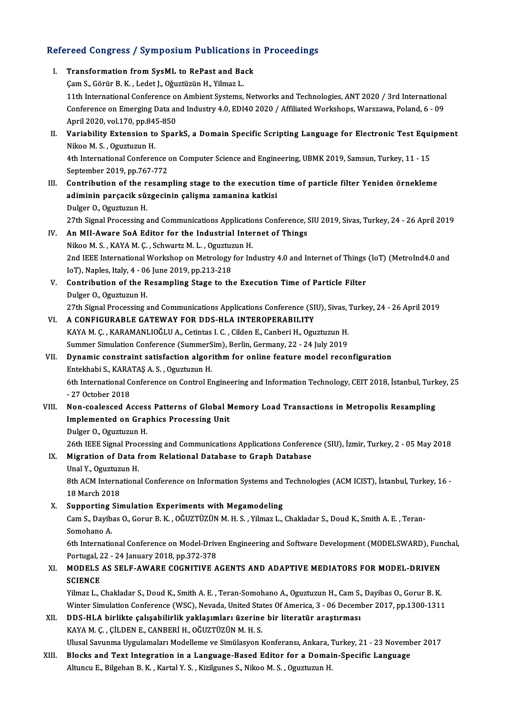# Refereed Congress / Symposium Publications in Proceedings<br>Refereed Congress / Symposium Publications in Proceedings

| Refereed Congress / Symposium Publications in Proceedings |                                                                                                                                                              |  |
|-----------------------------------------------------------|--------------------------------------------------------------------------------------------------------------------------------------------------------------|--|
| Ι.                                                        | Transformation from SysML to RePast and Back                                                                                                                 |  |
|                                                           | Çam S., Görür B. K., Ledet J., Oğuztüzün H., Yilmaz L.                                                                                                       |  |
|                                                           | 11th International Conference on Ambient Systems, Networks and Technologies, ANT 2020 / 3rd International                                                    |  |
|                                                           | Conference on Emerging Data and Industry 4.0, EDI40 2020 / Affiliated Workshops, Warszawa, Poland, 6 - 09                                                    |  |
|                                                           | April 2020, vol.170, pp.845-850                                                                                                                              |  |
| П.                                                        | Variability Extension to SparkS, a Domain Specific Scripting Language for Electronic Test Equipment                                                          |  |
|                                                           | Nikoo M. S., Oguztuzun H.                                                                                                                                    |  |
|                                                           | 4th International Conference on Computer Science and Engineering, UBMK 2019, Samsun, Turkey, 11 - 15<br>September 2019, pp.767-772                           |  |
| Ш.                                                        | Contribution of the resampling stage to the execution time of particle filter Yeniden örnekleme                                                              |  |
|                                                           | adiminin parçacik süzgecinin çalişma zamanina katkisi                                                                                                        |  |
|                                                           | Dulger O., Oguztuzun H.                                                                                                                                      |  |
|                                                           | 27th Signal Processing and Communications Applications Conference, SIU 2019, Sivas, Turkey, 24 - 26 April 2019                                               |  |
| IV.                                                       | An MII-Aware SoA Editor for the Industrial Internet of Things                                                                                                |  |
|                                                           | Nikoo M.S., KAYA M.Ç., Schwartz M.L., Oguztuzun H.                                                                                                           |  |
|                                                           | 2nd IEEE International Workshop on Metrology for Industry 4.0 and Internet of Things (IoT) (MetroInd4.0 and                                                  |  |
|                                                           | IoT), Naples, Italy, 4 - 06 June 2019, pp.213-218                                                                                                            |  |
| V.                                                        | Contribution of the Resampling Stage to the Execution Time of Particle Filter                                                                                |  |
|                                                           | Dulger O., Oguztuzun H.                                                                                                                                      |  |
|                                                           | 27th Signal Processing and Communications Applications Conference (SIU), Sivas, Turkey, 24 - 26 April 2019                                                   |  |
| VI.                                                       | A CONFIGURABLE GATEWAY FOR DDS-HLA INTEROPERABILITY                                                                                                          |  |
|                                                           | KAYA M. Ç., KARAMANLIOĞLU A., Cetintas I. C., Cilden E., Canberi H., Oguztuzun H.                                                                            |  |
|                                                           | Summer Simulation Conference (SummerSim), Berlin, Germany, 22 - 24 July 2019                                                                                 |  |
| VII.                                                      | Dynamic constraint satisfaction algorithm for online feature model reconfiguration                                                                           |  |
|                                                           | Entekhabi S., KARATAŞ A. S., Oguztuzun H.<br>6th International Conference on Control Engineering and Information Technology, CEIT 2018, İstanbul, Turkey, 25 |  |
|                                                           | -27 October 2018                                                                                                                                             |  |
| VIII.                                                     | Non-coalesced Access Patterns of Global Memory Load Transactions in Metropolis Resampling                                                                    |  |
|                                                           | Implemented on Graphics Processing Unit                                                                                                                      |  |
|                                                           | Dulger O., Oguztuzun H.                                                                                                                                      |  |
|                                                           | 26th IEEE Signal Processing and Communications Applications Conference (SIU), İzmir, Turkey, 2 - 05 May 2018                                                 |  |
| IX.                                                       | Migration of Data from Relational Database to Graph Database                                                                                                 |  |
|                                                           | Unal Y., Oguztuzun H.                                                                                                                                        |  |
|                                                           | 8th ACM International Conference on Information Systems and Technologies (ACM ICIST), İstanbul, Turkey, 16 -                                                 |  |
|                                                           | 18 March 2018                                                                                                                                                |  |
| X.                                                        | Supporting Simulation Experiments with Megamodeling                                                                                                          |  |
|                                                           | Cam S., Dayibas O., Gorur B. K., OĞUZTÜZÜN M. H. S., Yilmaz L., Chakladar S., Doud K., Smith A. E., Teran-                                                   |  |
|                                                           | Somohano A.                                                                                                                                                  |  |
|                                                           | 6th International Conference on Model-Driven Engineering and Software Development (MODELSWARD), Funchal,                                                     |  |
|                                                           | Portugal, 22 - 24 January 2018, pp.372-378                                                                                                                   |  |
| XI.                                                       | MODELS AS SELF-AWARE COGNITIVE AGENTS AND ADAPTIVE MEDIATORS FOR MODEL-DRIVEN<br><b>SCIENCE</b>                                                              |  |
|                                                           | Yilmaz L., Chakladar S., Doud K., Smith A. E., Teran-Somohano A., Oguztuzun H., Cam S., Dayibas O., Gorur B. K.                                              |  |
|                                                           | Winter Simulation Conference (WSC), Nevada, United States Of America, 3 - 06 December 2017, pp.1300-1311                                                     |  |
| XII.                                                      | DDS-HLA birlikte çalışabilirlik yaklaşımları üzerine bir literatür araştırması                                                                               |  |
|                                                           | KAYA M. Ç., ÇİLDEN E., CANBERİ H., OĞUZTÜZÜN M. H. S.                                                                                                        |  |
|                                                           | Ulusal Savunma Uygulamaları Modelleme ve Simülasyon Konferansı, Ankara, Turkey, 21 - 23 November 2017                                                        |  |
| XIII.                                                     | Blocks and Text Integration in a Language-Based Editor for a Domain-Specific Language                                                                        |  |
|                                                           | Altuncu E., Bilgehan B. K., Kartal Y. S., Kizilgunes S., Nikoo M. S., Oguztuzun H.                                                                           |  |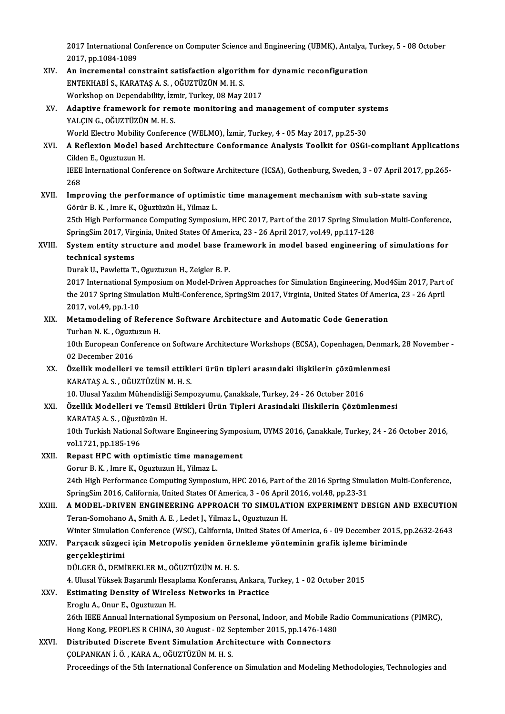2017 International Conference on Computer Science and Engineering (UBMK), Antalya, Turkey, 5 - 08 October<br>2017 pp 1984-1989 2017 International Co<br>2017, pp.1084-1089<br>An incremental cor 2017 International Conference on Computer Science and Engineering (UBMK), Antalya, 1<br>2017, pp.1084-1089<br>XIV. An incremental constraint satisfaction algorithm for dynamic reconfiguration<br>ENTEVHAPI S. KARATAS A.S. OCUZTUZUN

- 2017, pp.1084-1089<br>An incremental constraint satisfaction algoritl<br>ENTEKHABİ S., KARATAŞ A. S. , OĞUZTÜZÜN M. H. S.<br>Werkeben en Denendebility İsmir Turkey 98 Mey : An incremental constraint satisfaction algorithm fo<br>ENTEKHABİ S., KARATAŞ A. S. , OĞUZTÜZÜN M. H. S.<br>Workshop on Dependability, İzmir, Turkey, 08 May 2017<br>Adaptive framewerk for remate manitering and ma ENTEKHABİ S., KARATAŞ A. S. , OĞUZTÜZÜN M. H. S.<br>Workshop on Dependability, İzmir, Turkey, 08 May 2017<br>XV. Adaptive framework for remote monitoring and management of computer systems<br>VALGIN G. OĞUZTÜZÜN M. H. S
- Workshop on Dependability, İzmir, Turkey, 08 May 2017<br>Adaptive framework for remote monitoring and m<br>YALÇIN G., OĞUZTÜZÜN M. H. S. Adaptive framework for remote monitoring and management of computer system.<br>THE CHA SALCIN G., OGUZTÜZÜN M. H. S.<br>World Electro Mobility Conference (WELMO), İzmir, Turkey, 4 - 05 May 2017, pp.25-30<br>A Boflovian Model based World Electro Mobility Conference (WELMO), İzmir, Turkey, 4 - 05 May 2017, pp.25-30

## XVI. A Reflexion Model based Architecture Conformance Analysis Toolkit for OSGi-compliant Applications<br>Cilden E., Oguztuzun H. A Reflexion Model based Architecture Conformance Analysis Toolkit for OSGi-compliant Application<br>Cilden E., Oguztuzun H.<br>IEEE International Conference on Software Architecture (ICSA), Gothenburg, Sweden, 3 - 07 April 2017, Cilde<br>IEEE<br>268<br>Imp IEEE International Conference on Software Architecture (ICSA), Gothenburg, Sweden, 3 - 07 April 2017, p<br>268<br>XVII. Improving the performance of optimistic time management mechanism with sub-state saving<br> $C^{\text{2m}}$

268<br>Improving the performance of optimistic time management mechanism with sub-state saving<br>Görür B. K. , Imre K., Oğuztüzün H., Yilmaz L. Improving the performance of optimistic time management mechanism with sub-state saving<br>Görür B. K. , Imre K., Oğuztüzün H., Yilmaz L.<br>25th High Performance Computing Symposium, HPC 2017, Part of the 2017 Spring Simulation Görür B. K. , Imre K., Oğuztüzün H., Yilmaz L.<br>25th High Performance Computing Symposium, HPC 2017, Part of the 2017 Spring Simulat<br>SpringSim 2017, Virginia, United States Of America, 23 - 26 April 2017, vol.49, pp.117-128

## 25th High Performance Computing Symposium, HPC 2017, Part of the 2017 Spring Simulation Multi-Conference,<br>SpringSim 2017, Virginia, United States Of America, 23 - 26 April 2017, vol.49, pp.117-128<br>XVIII. System entity stru SpringSim 2017, Virg<br>System entity stru<br>technical systems<br>Durak H. Boudatta T System entity structure and model base fr<br>technical systems<br>Durak U., Pawletta T., Oguztuzun H., Zeigler B. P.<br>2017 International Sumnesium on Model Driver

technical systems<br>Durak U., Pawletta T., Oguztuzun H., Zeigler B. P.<br>2017 International Symposium on Model-Driven Approaches for Simulation Engineering, Mod4Sim 2017, Part of<br>the 2017 Spring Simulation Multi Conference, Sp Durak U., Pawletta T., Oguztuzun H., Zeigler B. P.<br>2017 International Symposium on Model-Driven Approaches for Simulation Engineering, Mod4Sim 2017, Part<br>the 2017 Spring Simulation Multi-Conference, SpringSim 2017, Virgini 2017 International Sy<br>the 2017 Spring Simu<br>2017, vol.49, pp.1-10<br>Meternadeling of Be the 2017 Spring Simulation Multi-Conference, SpringSim 2017, Virginia, United States Of Ameri<br>2017, vol.49, pp.1-10<br>XIX. Metamodeling of Reference Software Architecture and Automatic Code Generation

## 2017, vol.49, pp.1-10<br>Metamodeling of Referer<br>Turhan N. K. , Oguztuzun H.<br>10th Euronean Conference Turhan N. K., Oguztuzun H.

10th European Conference on Software Architecture Workshops (ECSA), Copenhagen, Denmark, 28 November - 02 December 2016 10th European Conference on Software Architecture Workshops (ECSA), Copenhagen, Denma<br>02 December 2016<br>XX. Özellik modelleri ve temsil ettikleri ürün tipleri arasındaki ilişkilerin çözümlenmesi<br>KARATAS A S. QÖUZTÜZÜN M.H.S

# 02 December 2016<br><mark>Özellik modelleri ve temsil ettikl</mark><br>KARATAŞ A. S. , OĞUZTÜZÜN M. H. S.<br>10 Hlusel Yazılım Mühandisliği Samn Özellik modelleri ve temsil ettikleri ürün tipleri arasındaki ilişkilerin çözümle<br>KARATAŞ A. S. , OĞUZTÜZÜN M. H. S.<br>10. Ulusal Yazılım Mühendisliği Sempozyumu, Çanakkale, Turkey, 24 - 26 October 2016<br>Özellik Modelleri ve

10. Ulusal Yazılım Mühendisliği Sempozyumu, Çanakkale, Turkey, 24 - 26 October 2016

# KARATAŞ A. S. , OĞUZTÜZÜN M. H. S.<br>10. Ulusal Yazılım Mühendisliği Sempozyumu, Çanakkale, Turkey, 24 - 26 October 2016<br>XXI. Özellik Modelleri ve Temsil Ettikleri Ürün Tipleri Arasindaki Iliskilerin Çözümlenmesi<br>KARATAS

Özellik Modelleri ve Temsil Ettikleri Ürün Tipleri Arasindaki Iliskilerin Çözümlenmesi<br>KARATAŞ A. S. , Oğuztüzün H.<br>10th Turkish National Software Engineering Symposium, UYMS 2016, Çanakkale, Turkey, 24 - 26 October 2016,<br> KARATAŞ A. S. , Oğuzti<br>10th Turkish National<br>vol.1721, pp.185-196<br>Bonast HBC with on 10th Turkish National Software Engineering Sympo:<br>vol.1721, pp.185-196<br>XXII. Repast HPC with optimistic time management

vol.1721, pp.185-196<br>Repast HPC with optimistic time manag<br>Gorur B. K. , Imre K., Oguztuzun H., Yilmaz L.<br>24th High Berfermange Computing Sumpesi: Repast HPC with optimistic time management<br>Gorur B. K. , Imre K., Oguztuzun H., Yilmaz L.<br>24th High Performance Computing Symposium, HPC 2016, Part of the 2016 Spring Simulation Multi-Conference,<br>SpringSim 2016, Colifornia Sorur B. K. , Imre K., Oguztuzun H., Yilmaz L.<br>24th High Performance Computing Symposium, HPC 2016, Part of the 2016 Spring Simu<br>SpringSim 2016, California, United States Of America, 3 - 06 April 2016, vol.48, pp.23-31<br>A M 24th High Performance Computing Symposium, HPC 2016, Part of the 2016 Spring Simulation Multi-Conference,<br>SpringSim 2016, California, United States Of America, 3 - 06 April 2016, vol.48, pp.23-31<br>XXIII. A MODEL-DRIVEN ENGI

# SpringSim 2016, California, United States Of America, 3 - 06 April<br>A MODEL-DRIVEN ENGINEERING APPROACH TO SIMULAT<br>Teran-Somohano A., Smith A. E. , Ledet J., Yilmaz L., Oguztuzun H.<br>Winter Simulation Conference (WSC), Calif A MODEL-DRIVEN ENGINEERING APPROACH TO SIMULATION EXPERIMENT DESIGN AND EXECUTION<br>Teran-Somohano A., Smith A. E. , Ledet J., Yilmaz L., Oguztuzun H.<br>Winter Simulation Conference (WSC), California, United States Of America,

Teran-Somohano A., Smith A. E. , Ledet J., Yilmaz L., Oguztuzun H.<br>Winter Simulation Conference (WSC), California, United States Of America, 6 - 09 December 2015, pp.2632-2643<br>XXIV. Parçacık süzgeci için Metropolis yen

## Parçacık süzgeci için Metropolis yeniden örnekleme yönteminin grafik işleme biriminde gerçekleştirimi<br>DÜLGER Ö., DEMİREKLER M., OĞUZTÜZÜN M. H. S.<br>4. Ulusal Yüksek Başarımlı Hesaplama Konferansı, Ankara, Turkey, 1 - 02 October 2015<br>Estimating Donsity of Wineless Networks in Prastise

gerçekleştirimi<br>DÜLGER Ö., DEMİREKLER M., OĞUZTÜZÜN M. H. S.

4. Ulusal Yüksek Başarımlı Hesa<br>**Estimating Density of Wirele<br>Eroglu A., Onur E., Oguztuzun H.**<br>26th IEEE Annual International

## XXV. Estimating Density of Wireless Networks in Practice<br>Eroglu A., Onur E., Oguztuzun H.

Estimating Density of Wireless Networks in Practice<br>Eroglu A., Onur E., Oguztuzun H.<br>26th IEEE Annual International Symposium on Personal, Indoor, and Mobile Radio Communications (PIMRC),<br>Hang Kang PEOPLES R.CHINA. 30 Augu Eroglu A., Onur E., Oguztuzun H.<br>26th IEEE Annual International Symposium on Personal, Indoor, and Mobile Ra<br>Hong Kong, PEOPLES R CHINA, 30 August - 02 September 2015, pp.1476-1480<br>Distributed Diserate Event Simulation Anc 26th IEEE Annual International Symposium on Personal, Indoor, and Mobile I<br>Hong Kong, PEOPLES R CHINA, 30 August - 02 September 2015, pp.1476-148<br>XXVI. Distributed Discrete Event Simulation Architecture with Connectors<br>COL

Hong Kong, PEOPLES R CHINA, 30 August - 02 Se<br>Distributed Discrete Event Simulation Arch<br>ÇOLPANKAN İ. Ö. , KARA A., OĞUZTÜZÜN M. H. S.<br>Presessings of the Eth International Conference Distributed Discrete Event Simulation Architecture with Connectors<br>COLPANKAN İ. Ö. , KARA A., OĞUZTÜZÜN M. H. S.<br>Proceedings of the 5th International Conference on Simulation and Modeling Methodologies, Technologies and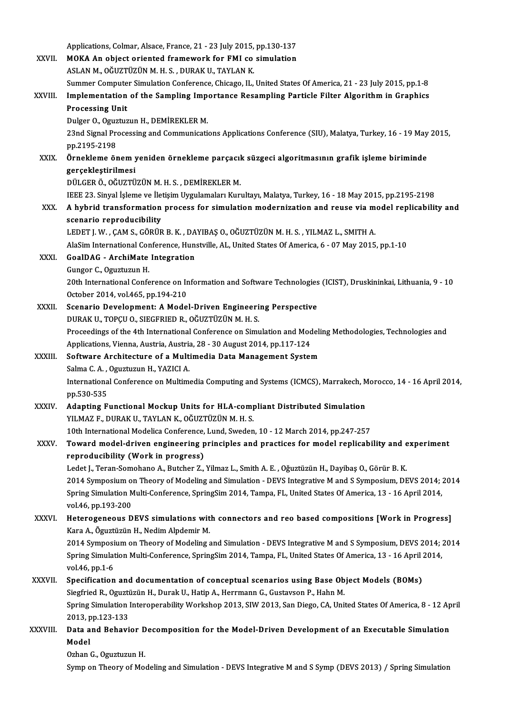|               | Applications, Colmar, Alsace, France, 21 - 23 July 2015, pp.130-137                                               |
|---------------|-------------------------------------------------------------------------------------------------------------------|
| XXVII.        | MOKA An object oriented framework for FMI co simulation                                                           |
|               | ASLAN M., OĞUZTÜZÜN M. H. S., DURAK U., TAYLAN K.                                                                 |
|               | Summer Computer Simulation Conference, Chicago, IL, United States Of America, 21 - 23 July 2015, pp.1-8           |
| XXVIII.       | Implementation of the Sampling Importance Resampling Particle Filter Algorithm in Graphics                        |
|               | <b>Processing Unit</b>                                                                                            |
|               | Dulger O., Oguztuzun H., DEMİREKLER M.                                                                            |
|               | 23nd Signal Processing and Communications Applications Conference (SIU), Malatya, Turkey, 16 - 19 May 2015,       |
|               | pp 2195-2198                                                                                                      |
| XXIX.         | Örnekleme önem yeniden örnekleme parçacık süzgeci algoritmasının grafik işleme biriminde                          |
|               | gerçekleştirilmesi                                                                                                |
|               | DÜLGER Ö., OĞUZTÜZÜN M. H. S., DEMİREKLER M.                                                                      |
|               | IEEE 23. Sinyal İşleme ve İletişim Uygulamaları Kurultayı, Malatya, Turkey, 16 - 18 May 2015, pp.2195-2198        |
| XXX.          | A hybrid transformation process for simulation modernization and reuse via model replicability and                |
|               | scenario reproducibility                                                                                          |
|               | LEDET J. W., ÇAM S., GÖRÜR B. K., DAYIBAŞ O., OĞUZTÜZÜN M. H. S., YILMAZ L., SMITH A.                             |
|               | AlaSim International Conference, Hunstville, AL, United States Of America, 6 - 07 May 2015, pp.1-10               |
| XXXI.         | <b>GoalDAG</b> - ArchiMate Integration                                                                            |
|               | Gungor C., Oguztuzun H.                                                                                           |
|               | 20th International Conference on Information and Software Technologies (ICIST), Druskininkai, Lithuania, 9 - 10   |
|               | October 2014, vol.465, pp.194-210                                                                                 |
| XXXII.        | Scenario Development: A Model-Driven Engineering Perspective                                                      |
|               | DURAK U., TOPÇU O., SIEGFRIED R., OĞUZTÜZÜN M. H. S.                                                              |
|               | Proceedings of the 4th International Conference on Simulation and Modeling Methodologies, Technologies and        |
|               | Applications, Vienna, Austria, Austria, 28 - 30 August 2014, pp.117-124                                           |
| XXXIII.       | Software Architecture of a Multimedia Data Management System                                                      |
|               | Salma C. A., Oguztuzun H., YAZICI A.                                                                              |
|               | International Conference on Multimedia Computing and Systems (ICMCS), Marrakech, Morocco, 14 - 16 April 2014,     |
|               | pp.530-535                                                                                                        |
| <b>XXXIV</b>  | Adapting Functional Mockup Units for HLA-compliant Distributed Simulation                                         |
|               | YILMAZ F., DURAK U., TAYLAN K., OĞUZTÜZÜN M. H. S.                                                                |
|               | 10th International Modelica Conference, Lund, Sweden, 10 - 12 March 2014, pp.247-257                              |
| <b>XXXV</b>   | Toward model-driven engineering principles and practices for model replicability and experiment                   |
|               | reproducibility (Work in progress)                                                                                |
|               | Ledet J., Teran-Somohano A., Butcher Z., Yilmaz L., Smith A. E., Oğuztüzün H., Dayibaş O., Görür B. K.            |
|               | 2014 Symposium on Theory of Modeling and Simulation - DEVS Integrative M and S Symposium, DEVS 2014; 2014         |
|               | Spring Simulation Multi-Conference, SpringSim 2014, Tampa, FL, United States Of America, 13 - 16 April 2014,      |
|               | vol 46, pp 193-200                                                                                                |
| XXXVI.        | Heterogeneous DEVS simulations with connectors and reo based compositions [Work in Progress]                      |
|               | Kara A., Õguztüzün H., Nedim Alpdemir M.                                                                          |
|               | 2014 Symposium on Theory of Modeling and Simulation - DEVS Integrative M and S Symposium, DEVS 2014; 2014         |
|               | Spring Simulation Multi-Conference, SpringSim 2014, Tampa, FL, United States Of America, 13 - 16 April 2014,      |
|               | vol 46, pp 1-6                                                                                                    |
| <b>XXXVII</b> | Specification and documentation of conceptual scenarios using Base Object Models (BOMs)                           |
|               | Siegfried R., Oguztüzün H., Durak U., Hatip A., Herrmann G., Gustavson P., Hahn M.                                |
|               | Spring Simulation Interoperability Workshop 2013, SIW 2013, San Diego, CA, United States Of America, 8 - 12 April |
|               | 2013, pp 123-133<br>Data and Behavior Decomposition for the Model-Driven Development of an Executable Simulation  |
| XXXVIII.      | Model                                                                                                             |
|               | Ozhan G., Oguztuzun H.                                                                                            |
|               | Symp on Theory of Modeling and Simulation - DEVS Integrative M and S Symp (DEVS 2013) / Spring Simulation         |
|               |                                                                                                                   |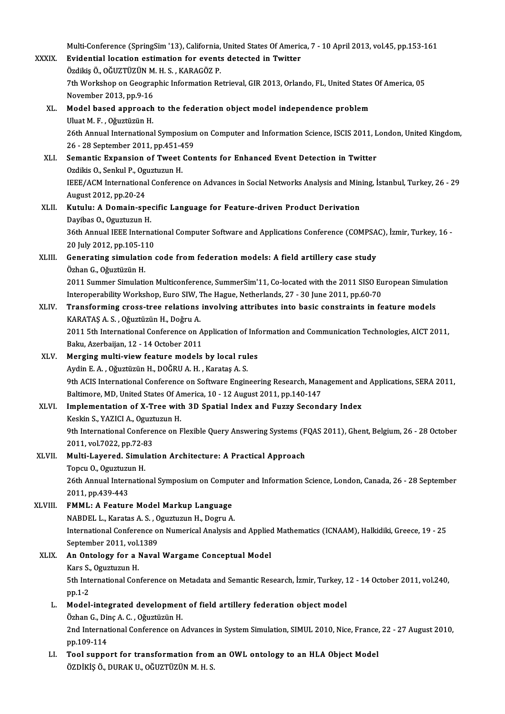Multi-Conference (SpringSim '13), California, United States Of America, 7 - 10 April 2013, vol.45, pp.153-161<br>Evidential legation estimation for events detected in Twitter

| <b>XXXIX</b> | Multi-Conference (SpringSim '13), California, United States Of America, 7 - 10 April 2013, vol.45, pp.153-161<br>Evidential location estimation for events detected in Twitter |
|--------------|--------------------------------------------------------------------------------------------------------------------------------------------------------------------------------|
|              | Özdikis Ö., OĞUZTÜZÜN M. H. S., KARAGÖZ P.                                                                                                                                     |
|              | 7th Workshop on Geographic Information Retrieval, GIR 2013, Orlando, FL, United States Of America, 05                                                                          |
|              | November 2013, pp.9-16                                                                                                                                                         |
| XL.          | Model based approach to the federation object model independence problem                                                                                                       |
|              | Uluat M. F., Oğuztüzün H.                                                                                                                                                      |
|              | 26th Annual International Symposium on Computer and Information Science, ISCIS 2011, London, United Kingdom,                                                                   |
|              | 26 - 28 September 2011, pp 451-459                                                                                                                                             |
| XLI.         | Semantic Expansion of Tweet Contents for Enhanced Event Detection in Twitter                                                                                                   |
|              | Ozdikis O., Senkul P., Oguztuzun H.                                                                                                                                            |
|              | IEEE/ACM International Conference on Advances in Social Networks Analysis and Mining, İstanbul, Turkey, 26 - 29                                                                |
|              | August 2012, pp 20-24                                                                                                                                                          |
| XLII.        | Kutulu: A Domain-specific Language for Feature-driven Product Derivation                                                                                                       |
|              | Dayibas O., Oguztuzun H.                                                                                                                                                       |
|              | 36th Annual IEEE International Computer Software and Applications Conference (COMPSAC), İzmir, Turkey, 16 -                                                                    |
|              | 20 July 2012, pp 105-110                                                                                                                                                       |
| XLIII.       | Generating simulation code from federation models: A field artillery case study                                                                                                |
|              | Özhan G., Oğuztüzün H.                                                                                                                                                         |
|              | 2011 Summer Simulation Multiconference, SummerSim'11, Co-located with the 2011 SISO European Simulation                                                                        |
|              | Interoperability Workshop, Euro SIW, The Hague, Netherlands, 27 - 30 June 2011, pp.60-70                                                                                       |
| XLIV.        | Transforming cross-tree relations involving attributes into basic constraints in feature models                                                                                |
|              | KARATAŞ A. S., Oğuztüzün H., Doğru A.                                                                                                                                          |
|              | 2011 5th International Conference on Application of Information and Communication Technologies, AICT 2011,                                                                     |
|              | Baku, Azerbaijan, 12 - 14 October 2011                                                                                                                                         |
| XLV.         | Merging multi-view feature models by local rules                                                                                                                               |
|              | Aydin E. A., Oğuztüzün H., DOĞRU A. H., Karataş A. S.                                                                                                                          |
|              | 9th ACIS International Conference on Software Engineering Research, Management and Applications, SERA 2011,                                                                    |
|              | Baltimore, MD, United States Of America, 10 - 12 August 2011, pp.140-147                                                                                                       |
| XLVI.        | Implementation of X-Tree with 3D Spatial Index and Fuzzy Secondary Index                                                                                                       |
|              | Keskin S., YAZICI A., Oguztuzun H.                                                                                                                                             |
|              | 9th International Conference on Flexible Query Answering Systems (FQAS 2011), Ghent, Belgium, 26 - 28 October                                                                  |
|              | 2011, vol 7022, pp 72-83                                                                                                                                                       |
| XLVII.       | Multi-Layered. Simulation Architecture: A Practical Approach                                                                                                                   |
|              | Topcu O., Oguztuzun H.                                                                                                                                                         |
|              | 26th Annual International Symposium on Computer and Information Science, London, Canada, 26 - 28 September                                                                     |
|              | 2011, pp 439-443                                                                                                                                                               |
| XLVIII.      | FMML: A Feature Model Markup Language                                                                                                                                          |
|              | NABDEL L., Karatas A. S., Oguztuzun H., Dogru A.                                                                                                                               |
|              | International Conference on Numerical Analysis and Applied Mathematics (ICNAAM), Halkidiki, Greece, 19 - 25                                                                    |
|              | September 2011, vol 1389                                                                                                                                                       |
| XLIX.        | An Ontology for a Naval Wargame Conceptual Model                                                                                                                               |
|              | Kars S., Oguztuzun H.                                                                                                                                                          |
|              | 5th International Conference on Metadata and Semantic Research, İzmir, Turkey, 12 - 14 October 2011, vol.240,                                                                  |
|              | pp 1-2                                                                                                                                                                         |
| L.           | Model-integrated development of field artillery federation object model                                                                                                        |
|              | Özhan G., Dinç A. C., Oğuztüzün H.                                                                                                                                             |
|              | 2nd International Conference on Advances in System Simulation, SIMUL 2010, Nice, France, 22 - 27 August 2010,                                                                  |
| LI.          | pp 109-114<br>Tool support for transformation from an OWL ontology to an HLA Object Model                                                                                      |
|              | ÖZDİKİŞ Ö., DURAK U., OĞUZTÜZÜN M.H.S.                                                                                                                                         |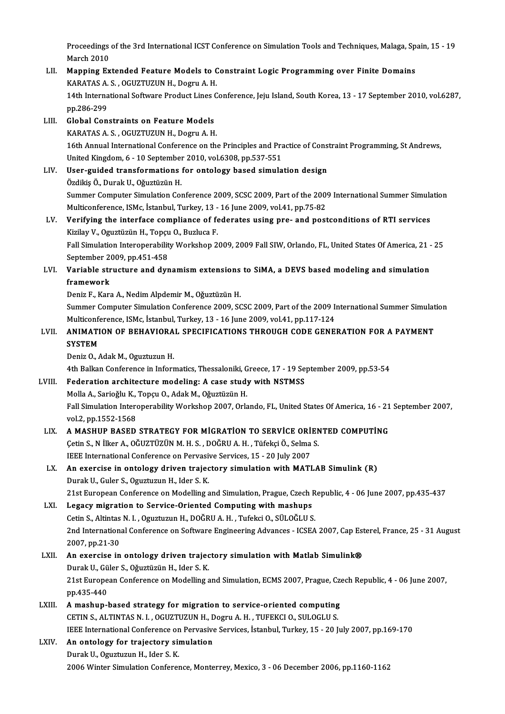Proceedings of the 3rd International ICST Conference on Simulation Tools and Techniques, Malaga, Spain, 15 - 19<br>Marsh 2010 Proceedings<br>March 2010<br>Manning Ev Proceedings of the 3rd International ICST Conference on Simulation Tools and Techniques, Malaga, Sp<br>March 2010<br>LII. Mapping Extended Feature Models to Constraint Logic Programming over Finite Domains<br>KARATAS A.S. OCUZTUZUN

- March 2010<br><mark>Mapping Extended Feature Models to C</mark><br>KARATAS A. S. , OGUZTUZUN H., Dogru A. H.<br>14th International Seftunge Broduct Lines C 11. Mapping Extended Feature Models to Constraint Logic Programming over Finite Domains<br>KARATAS A. S. , OGUZTUZUN H., Dogru A. H.<br>14th International Software Product Lines Conference, Jeju Island, South Korea, 13 - 17 Sept KARATAS A.<br>14th Interna<br>pp.286-299<br>Clobal Can
- LIII. Global Constraints on Feature Models KARATASA.S. ,OGUZTUZUNH.,DogruA.H. 16th Annual International Conference on the Principles and Practice of Constraint Programming, St Andrews, United Kingdom, 6 - 10 September 2010, vol.6308, pp.537-551 16th Annual International Conference on the Principles and Practice of Cons<br>United Kingdom, 6 - 10 September 2010, vol.6308, pp.537-551<br>LIV. User-guided transformations for ontology based simulation design<br>
Ordikio O. Dura
- United Kingdom, 6 10 September<br>User-guided transformations<br>Özdikiş Ö., Durak U., Oğuztüzün H.<br>Summer Cemputer Simulation Cet Özdikiş Ö., Durak U., Oğuztüzün H.<br>Summer Computer Simulation Conference 2009, SCSC 2009, Part of the 2009 International Summer Simulation Özdikiş Ö., Durak U., Oğuztüzün H.<br>Summer Computer Simulation Conference 2009, SCSC 2009, Part of the 2009<br>Multiconference, ISMc, İstanbul, Turkey, 13 - 16 June 2009, vol.41, pp.75-82<br>Verifying the interfece compliance of

## LV. Verifying the interface compliance of federates using pre- and postconditions of RTI services Multiconference, ISMc, İstanbul, Turkey, 13 -<br>Verifying the interface compliance of fe<br>Kizilay V., Oguztüzün H., Topçu O., Buzluca F.<br>Fell Simulation Intereperability Werksbon 3 Fall Simulation Interoperability Workshop 2009, 2009 Fall SIW, Orlando, FL, United States Of America, 21 - 25<br>September 2009, pp.451-458 Kizilay V., Oguztüzün H., Topçu O., Buzluca F.

Fall Simulation Interoperability Workshop 2009, 2009 Fall SIW, Orlando, FL, United States Of America, 21 -<br>September 2009, pp.451-458<br>LVI. Variable structure and dynamism extensions to SiMA, a DEVS based modeling and s September 20<br>Variable str<br>framework<br>Deniz E. Kar Variable structure and dynamism extensions<br>framework<br>Deniz F., Kara A., Nedim Alpdemir M., Oğuztüzün H.<br>Summer Computer Simulation Conference 2009, SC

framework<br>Deniz F., Kara A., Nedim Alpdemir M., Oğuztüzün H.<br>Summer Computer Simulation Conference 2009, SCSC 2009, Part of the 2009 International Summer Simulation Deniz F., Kara A., Nedim Alpdemir M., Oğuztüzün H.<br>Summer Computer Simulation Conference 2009, SCSC 2009, Part of the 2009 In<br>Multiconference, ISMc, İstanbul, Turkey, 13 - 16 June 2009, vol.41, pp.117-124<br>ANIMATION OF REHA Summer Computer Simulation Conference 2009, SCSC 2009, Part of the 2009 International Summer Simulat<br>Multiconference, ISMc, İstanbul, Turkey, 13 - 16 June 2009, vol.41, pp.117-124<br>LVII. ANIMATION OF BEHAVIORAL SPECIFICATIO

## Multiconfe<br>**ANIMATI**<br>SYSTEM<br>Doniz O **ANIMATION OF BEHAVIORA<br>SYSTEM<br>Deniz O., Adak M., Oguztuzun H.**<br>4th Ballan Conference in Inform SYSTEM<br>Deniz O., Adak M., Oguztuzun H.<br>4th Balkan Conference in Informatics, Thessaloniki, Greece, 17 - 19 September 2009, pp.53-54

LVIII. Federation architecture modeling: A case study with NSTMSS 4th Balkan Conference in Informatics, Thessaloniki, G<br>Federation architecture modeling: A case study<br>Molla A., Sarioğlu K., Topçu O., Adak M., Oğuztüzün H.<br>Fell Simulation Interenerability Werksbon 2007, Orle Fall Simulation Interoperability Workshop 2007, Orlando, FL, United States Of America, 16 - 21 September 2007, vol.2, pp.1552-1568 Molla A., Sarioğlu K.,<br>Fall Simulation Inter<br>vol.2, pp.1552-1568<br>A. MASHIIP PASED

- Fall Simulation Interoperability Workshop 2007, Orlando, FL, United States Of America, 16 21<br>vol.2, pp.1552-1568<br>LIX. A MASHUP BASED STRATEGY FOR MIGRATION TO SERVICE ORIENTED COMPUTING vol.2, pp.1552-1568<br>A MASHUP BASED STRATEGY FOR MIGRATION TO SERVICE ORIEN<br>Çetin S., N İlker A., OĞUZTÜZÜN M. H. S. , DOĞRU A. H. , Tüfekçi Ö., Selma S.<br>JEEE International Conference on Bervecive Services 15 – 30 July 3007 A MASHUP BASED STRATEGY FOR MIGRATION TO SERVICE ORI<br>Cetin S., N İlker A., OĞUZTÜZÜN M. H. S. , DOĞRU A. H. , Tüfekçi Ö., Selma<br>IEEE International Conference on Pervasive Services, 15 - 20 July 2007<br>An evensise in entelegy Cetin S., N İlker A., OĞUZTÜZÜN M. H. S. , DOĞRU A. H. , Tüfekçi Ö., Selma S.<br>IEEE International Conference on Pervasive Services, 15 - 20 July 2007<br>LX. An exercise in ontology driven trajectory simulation with MATLAB Simu
- **IEEE International Conference on Pervasi<br>An exercise in ontology driven traject<br>Durak U., Guler S., Oguztuzun H., Ider S. K.<br>21st European Conference on Modelling s** Durak U., Guler S., Oguztuzun H., Ider S. K.<br>21st European Conference on Modelling and Simulation, Prague, Czech Republic, 4 - 06 June 2007, pp.435-437

## LXI. Legacy migration to Service-Oriented Computing with mashups 21st European Conference on Modelling and Simulation, Prague, Czech R<br>Legacy migration to Service-Oriented Computing with mashups<br>Cetin S., Altintas N. I. , Oguztuzun H., DOĞRU A. H. , Tufekci O., SÜLOĞLU S.<br>2nd Internatio 2nd International Conference on Software Engineering Advances - ICSEA 2007, Cap Esterel, France, 25 - 31 August<br>2007, pp.21-30 Cetin S., Altintas<br>2nd Internation<br>2007, pp.21-30<br>An exercise in 2nd International Conference on Software Engineering Advances - ICSEA 2007, Cap Est<br>2007, pp.21-30<br>LXII. An exercise in ontology driven trajectory simulation with Matlab Simulink®

## 2007, pp.21-30<br>An exercise in ontology driven trajec<br>Durak U., Güler S., Oğuztüzün H., Ider S. K.<br>21st Euronean Conforence on Modelling s An exercise in ontology driven trajectory simulation with Matlab Simulink®<br>Durak U., Güler S., Oğuztüzün H., Ider S. K.<br>21st European Conference on Modelling and Simulation, ECMS 2007, Prague, Czech Republic, 4 - 06 June 2 Durak U., Gü<br>21st Europe<br>pp.435-440<br>A mashun l

- pp.435-440<br>LXIII. A mashup-based strategy for migration to service-oriented computing pp.435-440<br>A mashup-based strategy for migration to service-oriented computing<br>CETIN S., ALTINTAS N. I. , OGUZTUZUN H., Dogru A. H. , TUFEKCI O., SULOGLU S.<br>JEEE International Conference on Pervesive Services, Istanbul Tur A mashup-based strategy for migration to service-oriented computing<br>CETIN S., ALTINTAS N. I. , OGUZTUZUN H., Dogru A. H. , TUFEKCI O., SULOGLU S.<br>IEEE International Conference on Pervasive Services, İstanbul, Turkey, 15 - CETIN S., ALTINTAS N. I., OGUZTUZUN H., D<br>IEEE International Conference on Pervasive<br>LXIV. An ontology for trajectory simulation
- IEEE International Conference on<br>An ontology for trajectory sii<br>Durak U., Oguztuzun H., Ider S. K.<br>2006 Winter Simulation Conferent 11 An ontology for trajectory simulation<br>Durak U., Oguztuzun H., Ider S. K.<br>2006 Winter Simulation Conference, Monterrey, Mexico, 3 - 06 December 2006, pp.1160-1162